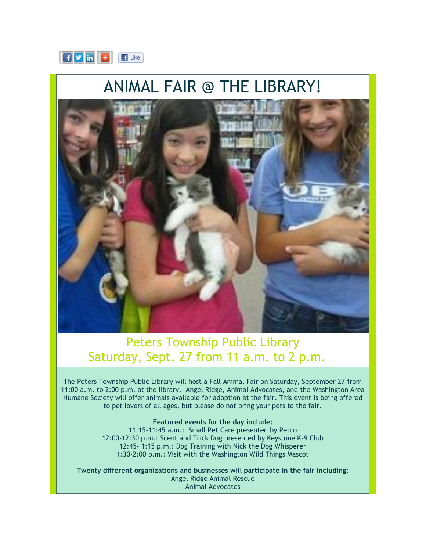

## ANIMAL FAIR @ THE LIBRARY!



## Peters Township Public Library Saturday, Sept. 27 from 11 a.m. to 2 p.m.

The Peters Township Public Library will host a Fall Animal Fair on Saturday, September 27 from 11:00 a.m. to 2:00 p.m. at the library. Angel Ridge, Animal Advocates, and the Washington Area Humane Society will offer animals available for adoption at the fair. This event is being offered to pet lovers of all ages, but please do not bring your pets to the fair.

**Featured events for the day include:** 

11:15-11:45 a.m.: Small Pet Care presented by Petco 12:00-12:30 p.m.: Scent and Trick Dog presented by Keystone K-9 Club 12:45- 1:15 p.m.: Dog Training with Nick the Dog Whisperer 1:30-2:00 p.m.: Visit with the Washington Wild Things Mascot

**Twenty different organizations and businesses will participate in the fair including:** Angel Ridge Animal Rescue Animal Advocates